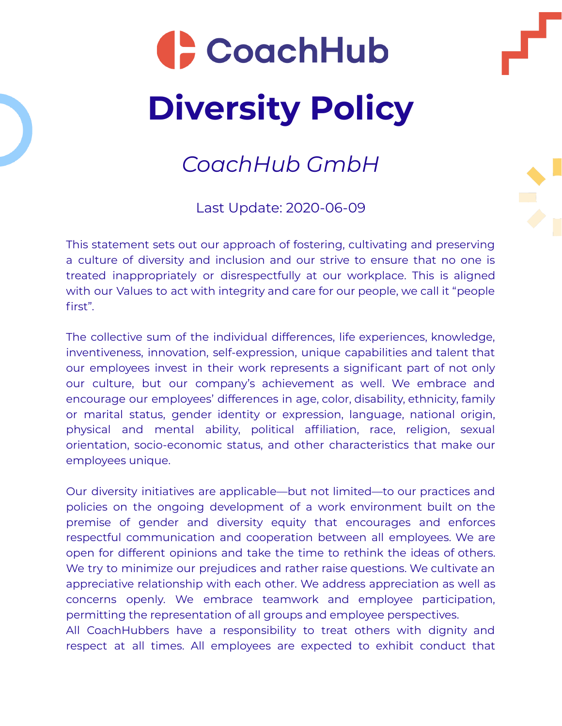## CoachHub **Diversity Policy**

## *CoachHub GmbH*

Last Update: 2020-06-09

This statement sets out our approach of fostering, cultivating and preserving a culture of diversity and inclusion and our strive to ensure that no one is treated inappropriately or disrespectfully at our workplace. This is aligned with our Values to act with integrity and care for our people, we call it "people first".

The collective sum of the individual differences, life experiences, knowledge, inventiveness, innovation, self-expression, unique capabilities and talent that our employees invest in their work represents a significant part of not only our culture, but our company's achievement as well. We embrace and encourage our employees' differences in age, color, disability, ethnicity, family or marital status, gender identity or expression, language, national origin, physical and mental ability, political affiliation, race, religion, sexual orientation, socio-economic status, and other characteristics that make our employees unique.

Our diversity initiatives are applicable—but not limited—to our practices and policies on the ongoing development of a work environment built on the premise of gender and diversity equity that encourages and enforces respectful communication and cooperation between all employees. We are open for different opinions and take the time to rethink the ideas of others. We try to minimize our prejudices and rather raise questions. We cultivate an appreciative relationship with each other. We address appreciation as well as concerns openly. We embrace teamwork and employee participation, permitting the representation of all groups and employee perspectives.

All CoachHubbers have a responsibility to treat others with dignity and respect at all times. All employees are expected to exhibit conduct that